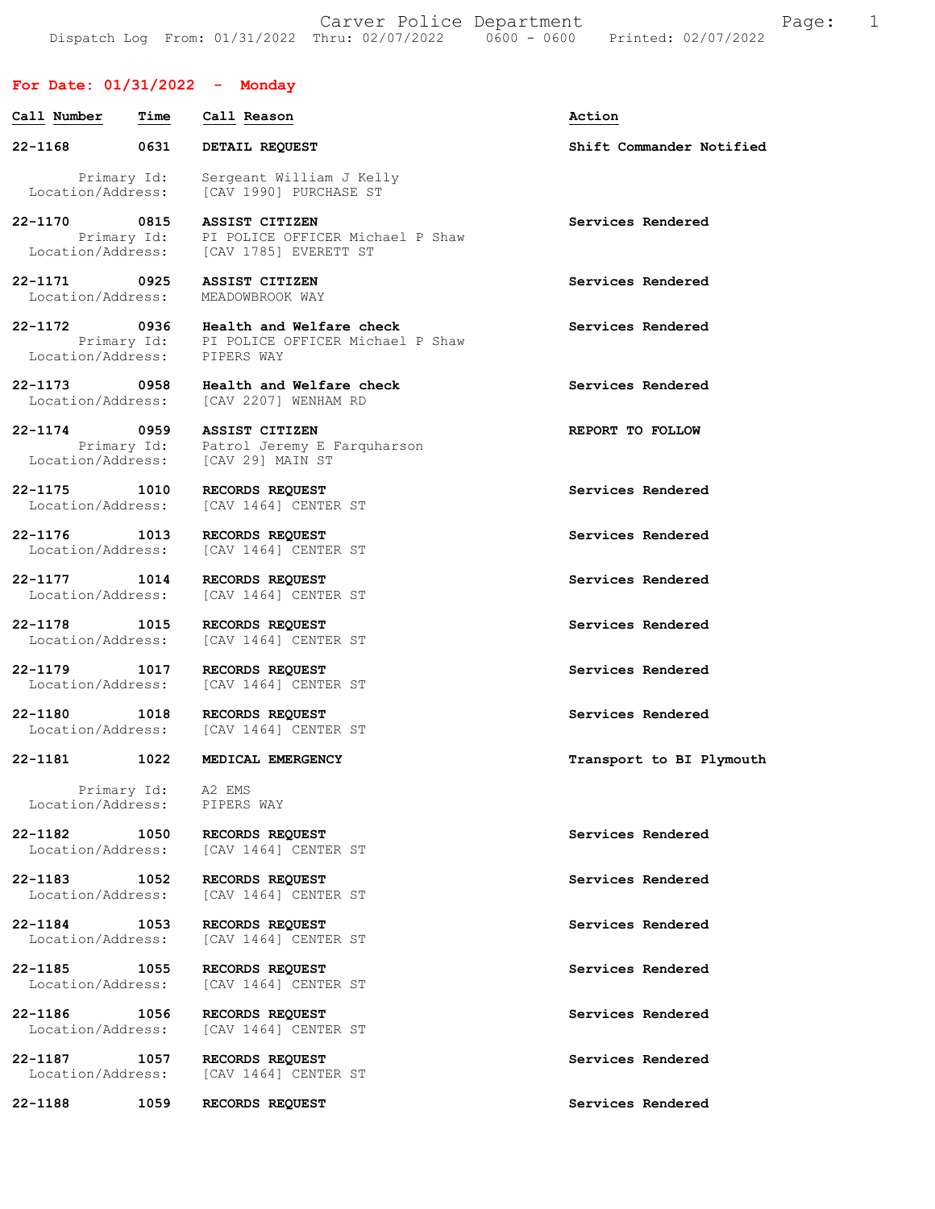Carver Police Department The Page: 1 Dispatch Log From: 01/31/2022 Thru: 02/07/2022 0600 - 0600 Printed: 02/07/2022

## For Date: 01/31/2022 - Monday

| Call Number                          | Time                | Call Reason                                                                | Action                   |
|--------------------------------------|---------------------|----------------------------------------------------------------------------|--------------------------|
| $22 - 1168$                          | 0631                | DETAIL REQUEST                                                             | Shift Commander Notified |
| Primary Id:<br>Location/Address:     |                     | Sergeant William J Kelly<br><b>ICAV 19901 PURCHASE ST</b>                  |                          |
| 22-1170 0815                         |                     | <b>ASSIST CITIZEN</b><br>Primary Id: PI POLICE OFFICER Michael P Shaw      | Services Rendered        |
|                                      |                     | Location/Address: [CAV 1785] EVERETT ST                                    |                          |
| 22-1171 0925<br>Location/Address:    |                     | ASSIST CITIZEN<br>MEADOWBROOK WAY                                          | Services Rendered        |
| 22-1172 0936<br>Location/Address:    | Primary Id:         | Health and Welfare check<br>PI POLICE OFFICER Michael P Shaw<br>PIPERS WAY | Services Rendered        |
| 22-1173 0958<br>Location/Address:    |                     | Health and Welfare check<br>[CAV 2207] WENHAM RD                           | Services Rendered        |
| 22-1174<br>Location/Address:         | 0959<br>Primary Id: | ASSIST CITIZEN<br>Patrol Jeremy E Farquharson<br>[CAV 29] MAIN ST          | REPORT TO FOLLOW         |
| 22-1175 1010<br>Location/Address:    |                     | RECORDS REQUEST<br>[CAV 1464] CENTER ST                                    | Services Rendered        |
| 22-1176 1013<br>Location/Address:    |                     | RECORDS REQUEST<br>[CAV 1464] CENTER ST                                    | Services Rendered        |
| 22-1177 1014<br>Location/Address:    |                     | RECORDS REQUEST<br>[CAV 1464] CENTER ST                                    | Services Rendered        |
| 22-1178<br>1015<br>Location/Address: |                     | RECORDS REQUEST<br>[CAV 1464] CENTER ST                                    | Services Rendered        |
| 22-1179 1017<br>Location/Address:    |                     | RECORDS REQUEST<br>[CAV 1464] CENTER ST                                    | Services Rendered        |
| 22-1180<br>Location/Address:         | 1018                | RECORDS REQUEST<br>[CAV 1464] CENTER ST                                    | Services Rendered        |
| 22-1181                              | 1022                | MEDICAL EMERGENCY                                                          | Transport to BI Plymouth |
| Primary Id:<br>Location/Address:     |                     | A2 EMS<br>PIPERS WAY                                                       |                          |
| 22-1182 1050<br>Location/Address:    |                     | RECORDS REQUEST<br>[CAV 1464] CENTER ST                                    | Services Rendered        |
| 22-1183<br>Location/Address:         | 1052                | RECORDS REQUEST<br>[CAV 1464] CENTER ST                                    | Services Rendered        |
| 22-1184 1053<br>Location/Address:    |                     | RECORDS REQUEST<br>[CAV 1464] CENTER ST                                    | Services Rendered        |
| 22-1185<br>Location/Address:         | 1055                | RECORDS REQUEST<br>[CAV 1464] CENTER ST                                    | Services Rendered        |
| 22-1186<br>Location/Address:         | 1056                | RECORDS REQUEST<br>[CAV 1464] CENTER ST                                    | Services Rendered        |
| 22-1187<br>Location/Address:         | 1057                | RECORDS REQUEST<br>[CAV 1464] CENTER ST                                    | Services Rendered        |
| 22-1188                              | 1059                | RECORDS REQUEST                                                            | Services Rendered        |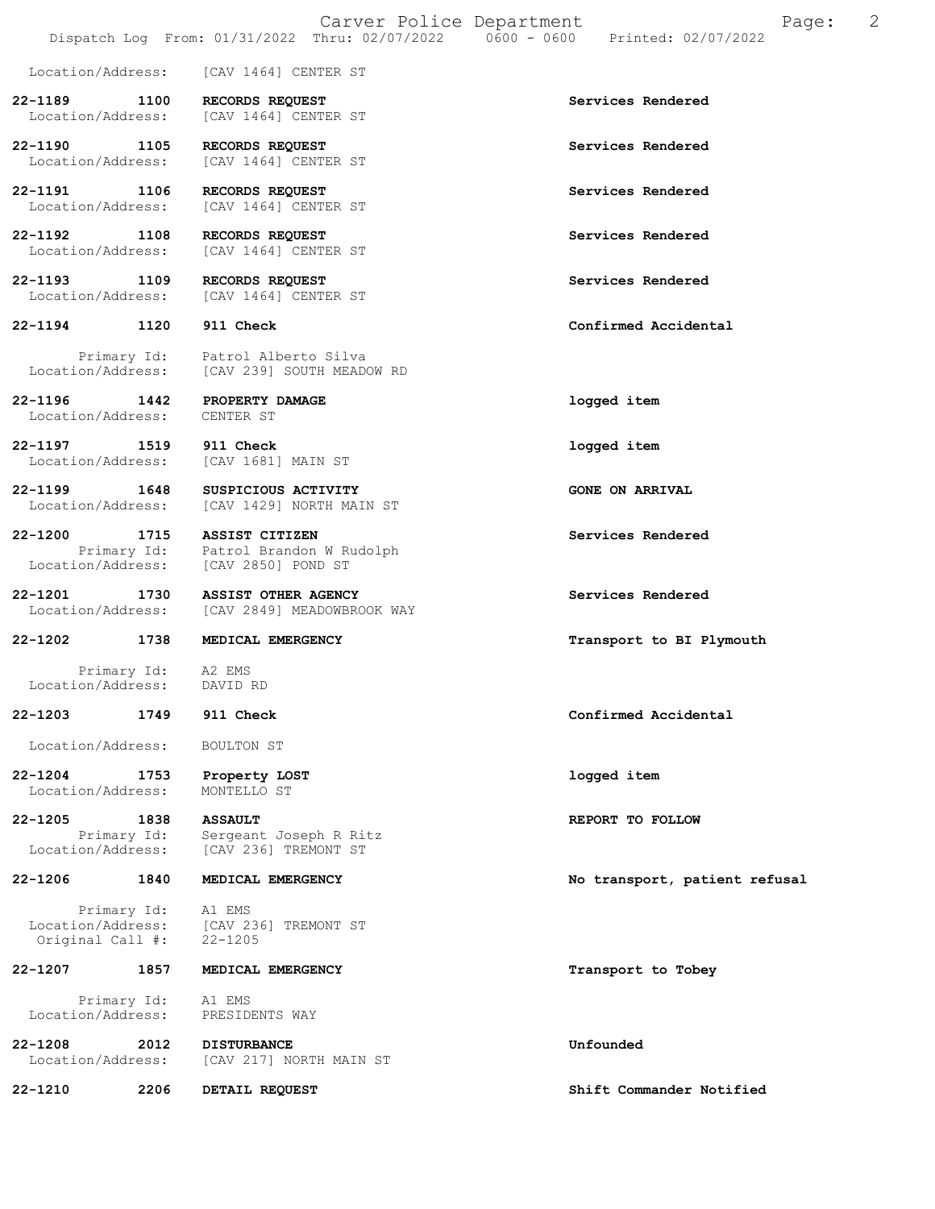Location/Address: [CAV 1464] CENTER ST

22-1189 1100 RECORDS REQUEST Services Rendered Location/Address: [CAV 1464] CENTER ST [CAV 1464] CENTER ST

22-1190 1105 RECORDS REQUEST Services Rendered Location/Address: [CAV 1464] CENTER ST [CAV 1464] CENTER ST

22-1191 1106 RECORDS REQUEST<br>
Location/Address: [CAV 1464] CENTER ST [CAV 1464] CENTER ST

22-1192 1108 RECORDS REQUEST Services Rendered Location/Address: [CAV 1464] CENTER ST

22-1193 1109 RECORDS REQUEST<br>
Location/Address: [CAV 1464] CENTER ST Location/Address:

Primary Id: Patrol Alberto Silva<br>Location/Address: [CAV 239] SOUTH MEADO [CAV 239] SOUTH MEADOW RD

22-1196 1442 PROPERTY DAMAGE logged item Location/Address: CENTER ST

22-1197 1519 911 Check logged item Location/Address: [CAV 1681] MAIN ST

22-1199 1648 SUSPICIOUS ACTIVITY<br>
Location/Address: [CAV 1429] NORTH MAIN ST [CAV 1429] NORTH MAIN ST

22-1200 1715 ASSIST CITIZEN Services Rendered Primary Id: Patrol Brandon W Rudolph<br>Location/Address: [CAV 2850] POND ST [CAV 2850] POND ST

22-1201 1730 ASSIST OTHER AGENCY Services Rendered Location/Address: [CAV 2849] MEADOWBROOK WAY

### 22-1202 1738 MEDICAL EMERGENCY 120 120 Transport to BI Plymouth

Primary Id: A2 EMS<br>ion/Address: DAVID RD Location/Address:

Original Call #:

Location/Address: BOULTON ST

22-1204 1753 Property LOST logged item Location/Address:

**22-1205** 1838 ASSAULT<br>Primary Id: Sergeant Joseph R Ritz<br>REPORT TO FOLLOW Primary Id: Sergeant Joseph R Ritz<br>Location/Address: [CAV 236] TREMONT ST [CAV 236] TREMONT ST

Primary Id: Al EMS<br>Location/Address: [CAV 2 [CAV 236] TREMONT ST<br>22-1205

## 22-1207 1857 MEDICAL EMERGENCY Transport to Tobey

Primary Id: A1 EMS<br>ion/Address: PRESIDENTS WAY Location/Address:

22-1208 2012 DISTURBANCE Unfounded Location/Address: [CAV 217] NORTH MAIN ST

22-1210 2206 DETAIL REQUEST Shift Commander Notified

22-1194 1120 911 Check Confirmed Accidental

22-1203 1749 911 Check Confirmed Accidental

22-1206 1840 MEDICAL EMERGENCY No transport, patient refusal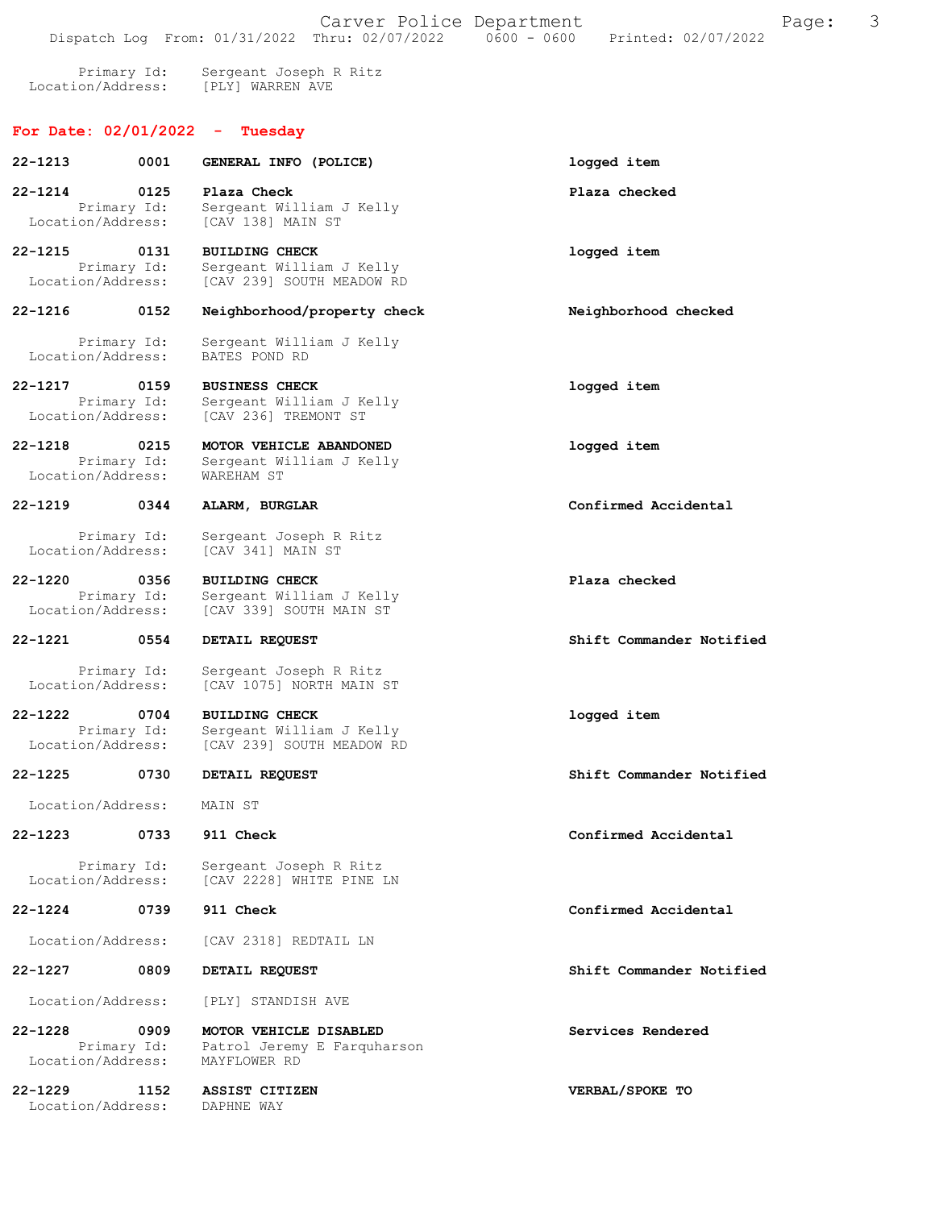Primary Id: Sergeant Joseph R Ritz Location/Address: [PLY] WARREN AVE

## For Date: 02/01/2022 - Tuesday

| $22 - 1213$                      | 0001                | GENERAL INFO (POLICE)                                                          | logged item              |
|----------------------------------|---------------------|--------------------------------------------------------------------------------|--------------------------|
| 22-1214<br>Location/Address:     | 0125<br>Primary Id: | Plaza Check<br>Sergeant William J Kelly<br>[CAV 138] MAIN ST                   | Plaza checked            |
| $22 - 1215$<br>Location/Address: | 0131<br>Primary Id: | <b>BUILDING CHECK</b><br>Sergeant William J Kelly<br>[CAV 239] SOUTH MEADOW RD | logged item              |
| 22-1216                          | 0152                | Neighborhood/property check                                                    | Neighborhood checked     |
| Location/Address:                | Primary Id:         | Sergeant William J Kelly<br>BATES POND RD                                      |                          |
| 22-1217<br>Location/Address:     | 0159<br>Primary Id: | <b>BUSINESS CHECK</b><br>Sergeant William J Kelly<br>[CAV 236] TREMONT ST      | logged item              |
| $22 - 1218$<br>Location/Address: | 0215<br>Primary Id: | MOTOR VEHICLE ABANDONED<br>Sergeant William J Kelly<br><b>WAREHAM ST</b>       | logged item              |
| $22 - 1219$                      | 0344                | ALARM, BURGLAR                                                                 | Confirmed Accidental     |
| Location/Address:                | Primary Id:         | Sergeant Joseph R Ritz<br>[CAV 341] MAIN ST                                    |                          |
| $22 - 1220$<br>Location/Address: | 0356<br>Primary Id: | <b>BUILDING CHECK</b><br>Sergeant William J Kelly<br>[CAV 339] SOUTH MAIN ST   | Plaza checked            |
| 22-1221                          | 0554                | DETAIL REQUEST                                                                 | Shift Commander Notified |
| Location/Address:                | Primary Id:         | Sergeant Joseph R Ritz<br>[CAV 1075] NORTH MAIN ST                             |                          |
| 22-1222<br>Location/Address:     | 0704<br>Primary Id: | <b>BUILDING CHECK</b><br>Sergeant William J Kelly<br>[CAV 239] SOUTH MEADOW RD | logged item              |
| 22-1225                          | 0730                | DETAIL REQUEST                                                                 | Shift Commander Notified |
| Location/Address:                |                     | MAIN ST                                                                        |                          |
| 22-1223                          | 0733                | 911 Check                                                                      | Confirmed Accidental     |
| Location/Address:                | Primary Id:         | Sergeant Joseph R Ritz<br>ICAV 22281 WHITE PINE LN                             |                          |
| 22-1224                          | 0739                | 911 Check                                                                      | Confirmed Accidental     |
| Location/Address:                |                     | [CAV 2318] REDTAIL LN                                                          |                          |
| $22 - 1227$                      | 0809                | DETAIL REQUEST                                                                 | Shift Commander Notified |
| Location/Address:                |                     | [PLY] STANDISH AVE                                                             |                          |
| $22 - 1228$<br>Location/Address: | 0909<br>Primary Id: | MOTOR VEHICLE DISABLED<br>Patrol Jeremy E Farquharson<br>MAYFLOWER RD          | Services Rendered        |
| $22 - 1229$<br>Location/Address: | 1152                | <b>ASSIST CITIZEN</b><br>DAPHNE WAY                                            | VERBAL/SPOKE TO          |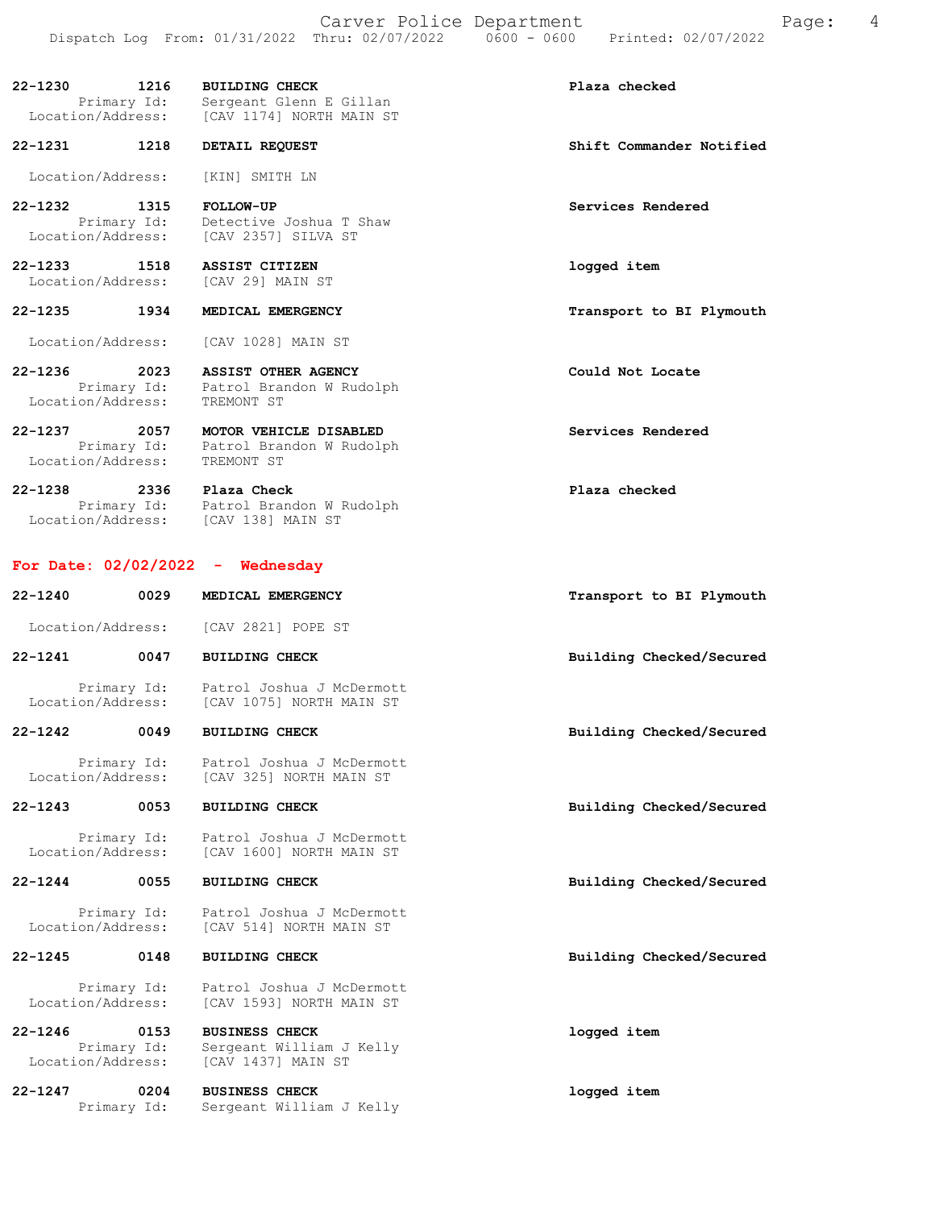Carver Police Department Fage: 4 Dispatch Log From: 01/31/2022 Thru: 02/07/2022 0600 - 0600 Printed: 02/07/2022 22-1230 1216 BUILDING CHECK Plaza checked Primary Id: Sergeant Glenn E Gillan Location/Address: [CAV 1174] NORTH MAIN ST 22-1231 1218 DETAIL REQUEST Shift Commander Notified Location/Address: [KIN] SMITH LN 22-1232 1315 FOLLOW-UP Services Rendered Primary Id: Detective Joshua T Shaw Location/Address: [CAV 2357] SILVA ST 22-1233 1518 ASSIST CITIZEN logged item Location/Address: [CAV 29] MAIN ST 22-1235 1934 MEDICAL EMERGENCY Transport to BI Plymouth Location/Address: [CAV 1028] MAIN ST

22-1236 2023 ASSIST OTHER AGENCY COULD Could Not Locate Primary Id: Patrol Brandon W Rudolph Location/Address: TREMONT ST

22-1237 2057 MOTOR VEHICLE DISABLED Services Rendered Primary Id: Patrol Brandon W Rudolph Location/Address: TREMONT ST

22-1238 2336 Plaza Check Plaza checked Primary Id: Patrol Brandon W Rudolph Location/Address: [CAV 138] MAIN ST

## For Date: 02/02/2022 - Wednesday

| $22 - 1240$                      | 0029                | MEDICAL EMERGENCY                                                       | Transport to BI Plymouth |
|----------------------------------|---------------------|-------------------------------------------------------------------------|--------------------------|
| Location/Address:                |                     | [CAV 2821] POPE ST                                                      |                          |
| $22 - 1241$                      | 0047                | <b>BUILDING CHECK</b>                                                   | Building Checked/Secured |
| Location/Address:                | Primary Id:         | Patrol Joshua J McDermott<br>[CAV 1075] NORTH MAIN ST                   |                          |
| $22 - 1242$                      | 0049                | <b>BUILDING CHECK</b>                                                   | Building Checked/Secured |
| Location/Address:                | Primary Id:         | Patrol Joshua J McDermott<br>[CAV 325] NORTH MAIN ST                    |                          |
| $22 - 1243$                      | 0053                | <b>BUILDING CHECK</b>                                                   | Building Checked/Secured |
| Location/Address:                | Primary Id:         | Patrol Joshua J McDermott<br>[CAV 1600] NORTH MAIN ST                   |                          |
| $22 - 1244$                      | 0055                | <b>BUILDING CHECK</b>                                                   | Building Checked/Secured |
| Location/Address:                | Primary Id:         | Patrol Joshua J McDermott<br>[CAV 514] NORTH MAIN ST                    |                          |
| $22 - 1245$                      | 0148                | <b>BUILDING CHECK</b>                                                   | Building Checked/Secured |
| Location/Address:                | Primary Id:         | Patrol Joshua J McDermott<br>[CAV 1593] NORTH MAIN ST                   |                          |
| $22 - 1246$<br>Location/Address: | 0153<br>Primary Id: | <b>BUSINESS CHECK</b><br>Sergeant William J Kelly<br>[CAV 1437] MAIN ST | logged item              |
| $22 - 1247$                      | 0204<br>Primary Id: | <b>BUSINESS CHECK</b><br>Sergeant William J Kelly                       | logged item              |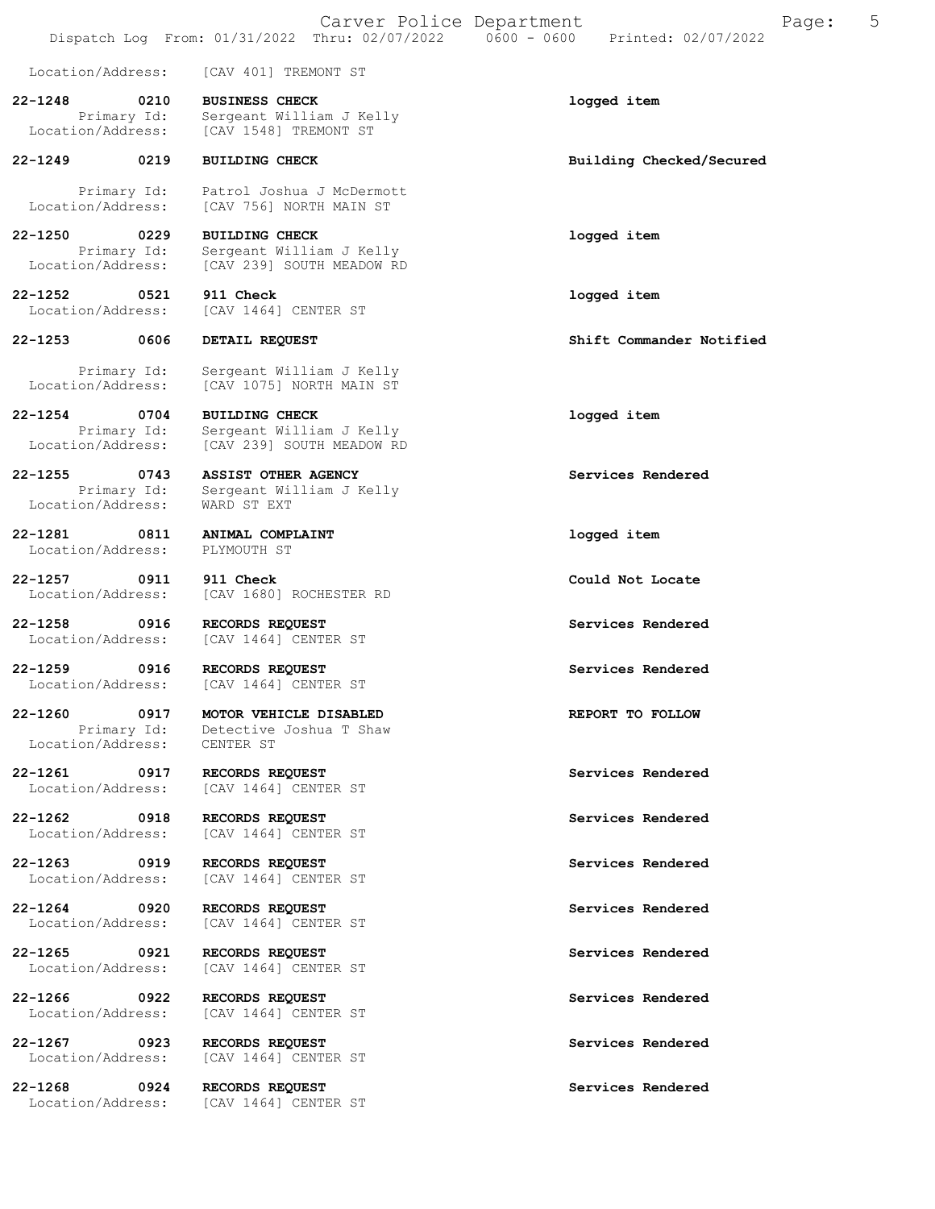|                                   |                     | Carver Police Department                                                                     | 5<br>Page:<br>Printed: 02/07/2022 |  |
|-----------------------------------|---------------------|----------------------------------------------------------------------------------------------|-----------------------------------|--|
| Location/Address:                 |                     | [CAV 401] TREMONT ST                                                                         |                                   |  |
| $22 - 1248$<br>Location/Address:  | 0210<br>Primary Id: | <b>BUSINESS CHECK</b><br>Sergeant William J Kelly<br>[CAV 1548] TREMONT ST                   | logged item                       |  |
| $22 - 1249$                       | 0219                | <b>BUILDING CHECK</b>                                                                        | Building Checked/Secured          |  |
| Primary Id:<br>Location/Address:  |                     | Patrol Joshua J McDermott<br>[CAV 756] NORTH MAIN ST                                         |                                   |  |
| $22 - 1250$<br>Location/Address:  | 0229<br>Primary Id: | <b>BUILDING CHECK</b><br>Sergeant William J Kelly<br>[CAV 239] SOUTH MEADOW RD               | logged item                       |  |
| $22 - 1252$<br>Location/Address:  | 0521                | 911 Check<br>[CAV 1464] CENTER ST                                                            | logged item                       |  |
| $22 - 1253$                       | 0606                | DETAIL REQUEST                                                                               | Shift Commander Notified          |  |
| Location/Address:                 | Primary Id:         | Sergeant William J Kelly<br>[CAV 1075] NORTH MAIN ST                                         |                                   |  |
| $22 - 1254$<br>Location/Address:  | 0704<br>Primary Id: | <b>BUILDING CHECK</b><br>Sergeant William J Kelly<br>[CAV 239] SOUTH MEADOW RD               | logged item                       |  |
| $22 - 1255$<br>Location/Address:  | 0743<br>Primary Id: | <b>ASSIST OTHER AGENCY</b><br>Sergeant William J Kelly<br>WARD ST EXT                        | Services Rendered                 |  |
| 22-1281<br>Location/Address:      | 0811                | ANIMAL COMPLAINT<br>PLYMOUTH ST                                                              | logged item                       |  |
| $22 - 1257$<br>Location/Address:  | 0911                | 911 Check<br>[CAV 1680] ROCHESTER RD                                                         | Could Not Locate                  |  |
| $22 - 1258$<br>Location/Address:  | 0916                | RECORDS REQUEST<br>[CAV 1464] CENTER ST                                                      | Services Rendered                 |  |
| $22 - 1259$<br>Location/Address:  | 0916                | RECORDS REQUEST<br>[CAV 1464] CENTER ST                                                      | Services Rendered                 |  |
| 22-1260                           | 0917                | MOTOR VEHICLE DISABLED<br>Primary Id: Detective Joshua T Shaw<br>Location/Address: CENTER ST | REPORT TO FOLLOW                  |  |
| 22-1261 0917<br>Location/Address: |                     | RECORDS REQUEST<br>[CAV 1464] CENTER ST                                                      | Services Rendered                 |  |
| 22-1262 0918<br>Location/Address: |                     | RECORDS REQUEST<br>[CAV 1464] CENTER ST                                                      | Services Rendered                 |  |
| 22-1263 0919<br>Location/Address: |                     | RECORDS REQUEST<br>[CAV 1464] CENTER ST                                                      | Services Rendered                 |  |
| 22-1264 0920<br>Location/Address: |                     | RECORDS REQUEST<br>[CAV 1464] CENTER ST                                                      | Services Rendered                 |  |
| 22-1265<br>Location/Address:      | 0921                | RECORDS REQUEST<br>[CAV 1464] CENTER ST                                                      | Services Rendered                 |  |
| 22-1266<br>Location/Address:      | 0922                | RECORDS REQUEST<br>[CAV 1464] CENTER ST                                                      | Services Rendered                 |  |
| 22-1267<br>Location/Address:      | 0923                | RECORDS REQUEST<br>[CAV 1464] CENTER ST                                                      | Services Rendered                 |  |
| $22 - 1268$<br>Location/Address:  | 0924                | RECORDS REQUEST<br>[CAV 1464] CENTER ST                                                      | Services Rendered                 |  |
|                                   |                     |                                                                                              |                                   |  |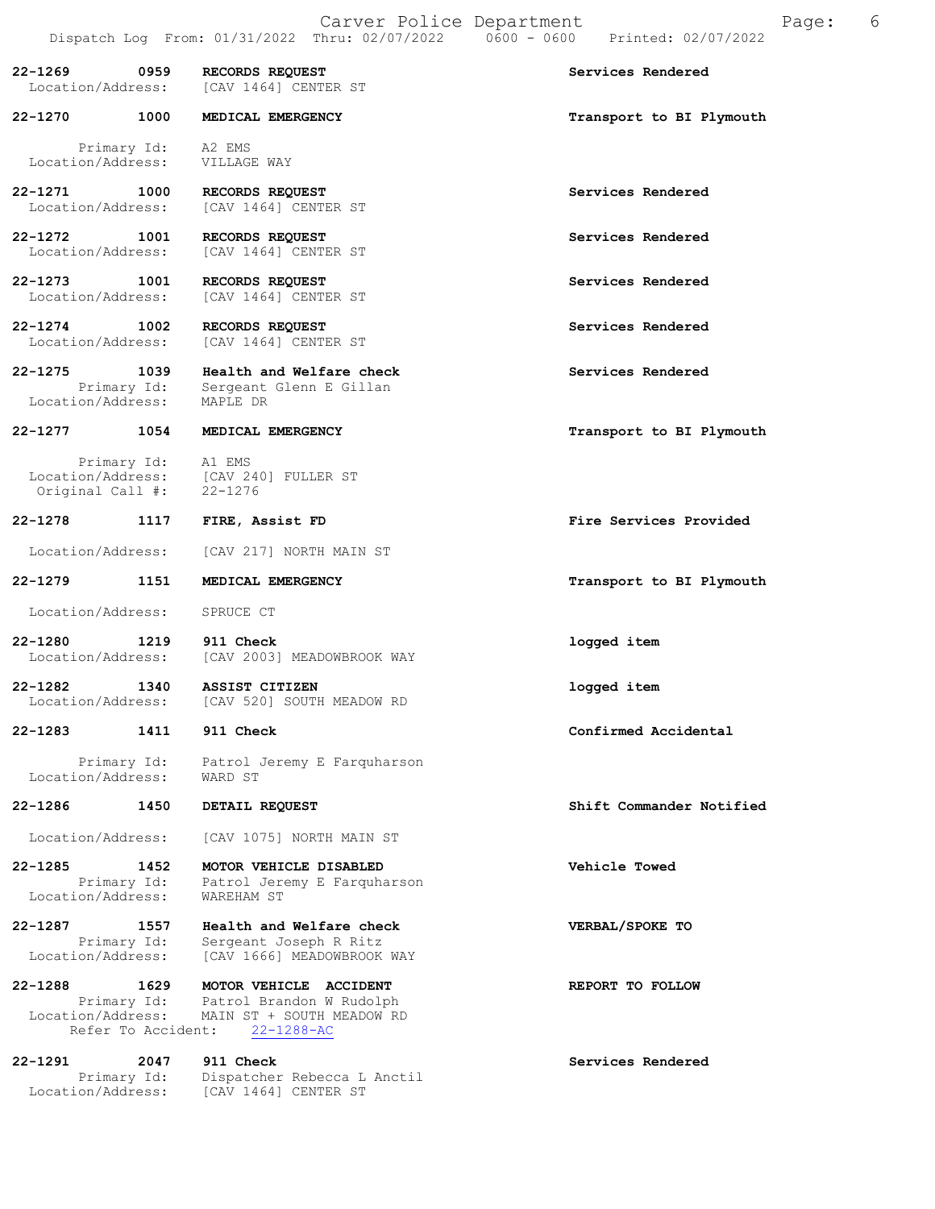| 22-1269<br>Location/Address:                | 0959                       | RECORDS REQUEST<br>[CAV 1464] CENTER ST                                                             | Services Rendered        |
|---------------------------------------------|----------------------------|-----------------------------------------------------------------------------------------------------|--------------------------|
| 22-1270                                     | 1000                       | MEDICAL EMERGENCY                                                                                   | Transport to BI Plymouth |
| Primary Id:<br>Location/Address:            |                            | A2 EMS<br>VILLAGE WAY                                                                               |                          |
| 22-1271 1000<br>Location/Address:           |                            | RECORDS REQUEST<br>[CAV 1464] CENTER ST                                                             | Services Rendered        |
| 22-1272<br>Location/Address:                | 1001                       | RECORDS REQUEST<br>[CAV 1464] CENTER ST                                                             | Services Rendered        |
| $22 - 1273$<br>Location/Address:            | 1001                       | RECORDS REQUEST<br>[CAV 1464] CENTER ST                                                             | Services Rendered        |
| 22-1274<br>Location/Address:                | 1002                       | RECORDS REQUEST<br>[CAV 1464] CENTER ST                                                             | Services Rendered        |
| 22-1275<br>Location/Address:                | 1039<br>Primary Id:        | Health and Welfare check<br>Sergeant Glenn E Gillan<br>MAPLE DR                                     | Services Rendered        |
| 22-1277                                     | 1054                       | MEDICAL EMERGENCY                                                                                   | Transport to BI Plymouth |
| Location/Address:<br>Original Call #:       | Primary Id: Al EMS         | [CAV 240] FULLER ST<br>22-1276                                                                      |                          |
| 22-1278                                     | 1117                       | FIRE, Assist FD                                                                                     | Fire Services Provided   |
| Location/Address:                           |                            | [CAV 217] NORTH MAIN ST                                                                             |                          |
| 22-1279                                     | 1151                       | MEDICAL EMERGENCY                                                                                   | Transport to BI Plymouth |
| Location/Address:                           |                            | SPRUCE CT                                                                                           |                          |
| 22-1280<br>Location/Address:                | 1219                       | 911 Check<br>[CAV 2003] MEADOWBROOK WAY                                                             | logged item              |
| 22-1282<br>Location/Address:                | 1340                       | ASSIST CITIZEN<br>[CAV 520] SOUTH MEADOW RD                                                         | logged item              |
| $22 - 1283$                                 | 1411                       | 911 Check                                                                                           | Confirmed Accidental     |
| Primary Id:<br>Location/Address:            |                            | Patrol Jeremy E Farquharson<br>WARD ST                                                              |                          |
| 22-1286                                     | 1450                       | DETAIL REQUEST                                                                                      | Shift Commander Notified |
| Location/Address:                           |                            | [CAV 1075] NORTH MAIN ST                                                                            |                          |
| 22-1285<br>Primary Id:<br>Location/Address: | 1452                       | MOTOR VEHICLE DISABLED<br>Patrol Jeremy E Farquharson<br><b>WAREHAM ST</b>                          | Vehicle Towed            |
| 22-1287<br>Primary Id:<br>Location/Address: | 1557                       | Health and Welfare check<br>Sergeant Joseph R Ritz<br>[CAV 1666] MEADOWBROOK WAY                    | VERBAL/SPOKE TO          |
| 22-1288<br>Primary Id:<br>Location/Address: | 1629<br>Refer To Accident: | MOTOR VEHICLE ACCIDENT<br>Patrol Brandon W Rudolph<br>MAIN ST + SOUTH MEADOW RD<br>$22 - 1288 - AC$ | REPORT TO FOLLOW         |
| $22 - 1291$                                 | 2047                       | 911 Check                                                                                           | Services Rendered        |

Primary Id: Dispatcher Rebecca L Anctil

Location/Address: [CAV 1464] CENTER ST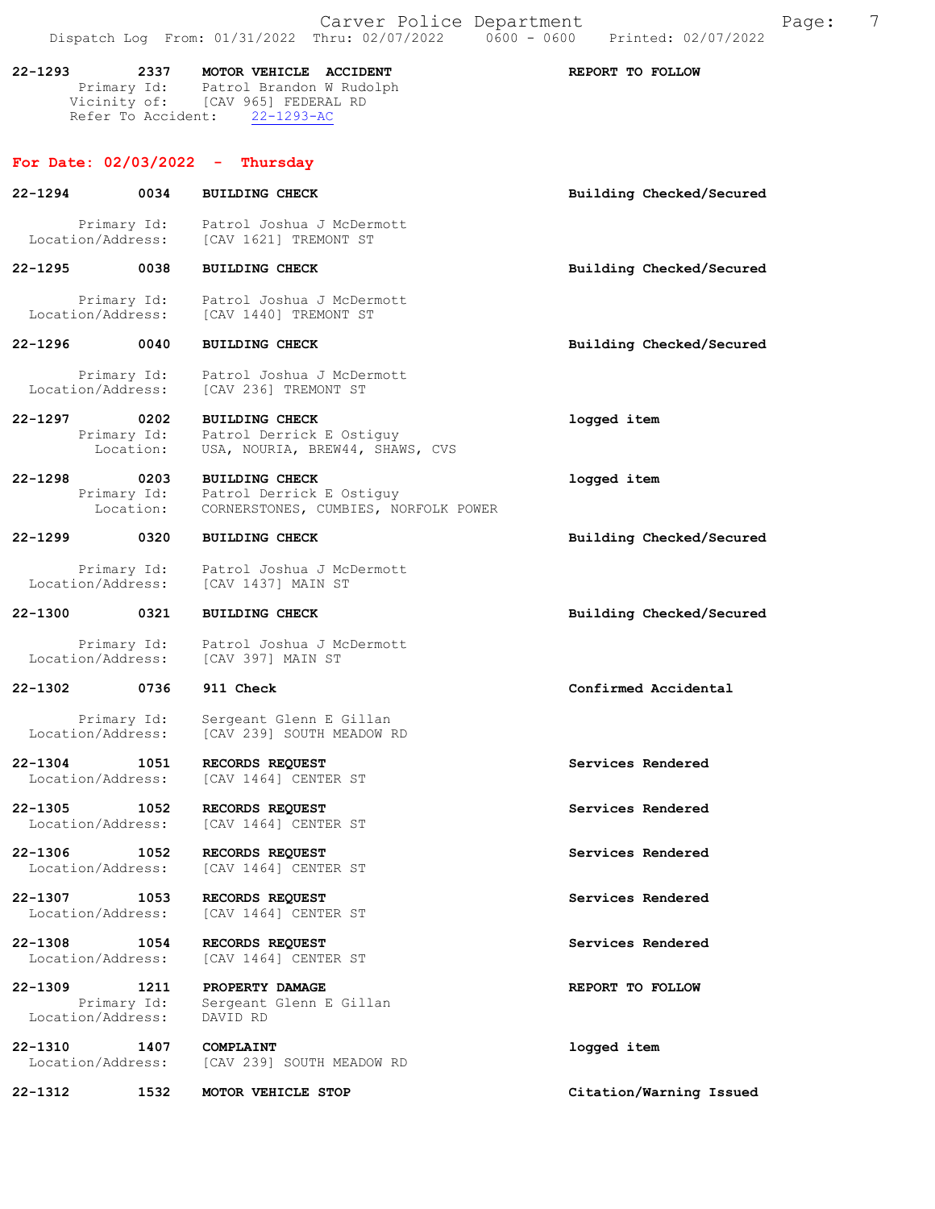|             |                                          | Carver Police Department<br>Dispatch Log From: 01/31/2022 Thru: 02/07/2022   0600 - 0600   Printed: 02/07/2022                               |                          | Page: | 7 |
|-------------|------------------------------------------|----------------------------------------------------------------------------------------------------------------------------------------------|--------------------------|-------|---|
| $22 - 1293$ |                                          | 2337 MOTOR VEHICLE ACCIDENT<br>Primary Id: Patrol Brandon W Rudolph<br>Vicinity of: [CAV 965] FEDERAL RD<br>Refer To Accident: 22-1293-AC    | REPORT TO FOLLOW         |       |   |
|             |                                          | For Date: $02/03/2022 - Thursday$                                                                                                            |                          |       |   |
| 22-1294     | 0034                                     | <b>BUILDING CHECK</b>                                                                                                                        | Building Checked/Secured |       |   |
|             |                                          | Primary Id: Patrol Joshua J McDermott<br>Location/Address: [CAV 1621] TREMONT ST                                                             |                          |       |   |
|             | 22-1295 0038                             | <b>BUILDING CHECK</b>                                                                                                                        | Building Checked/Secured |       |   |
|             |                                          | Primary Id: Patrol Joshua J McDermott<br>Location/Address: [CAV 1440] TREMONT ST                                                             |                          |       |   |
|             | 22-1296 0040                             | <b>BUILDING CHECK</b>                                                                                                                        | Building Checked/Secured |       |   |
|             | Location/Address:                        | Primary Id: Patrol Joshua J McDermott<br>[CAV 236] TREMONT ST                                                                                |                          |       |   |
|             | 22-1297 0202<br>Primary Id:<br>Location: | <b>BUILDING CHECK</b><br>Patrol Derrick E Ostiguy<br>USA, NOURIA, BREW44, SHAWS, CVS                                                         | logged item              |       |   |
| $22 - 1298$ | 0203                                     | <b>BUILDING CHECK</b><br>Primary Id: Patrol Derrick E Ostiguy<br>Location: CORNERSTONES, CUMBIES, NO<br>CORNERSTONES, CUMBIES, NORFOLK POWER | logged item              |       |   |
| 22–1299     | 0320                                     | <b>BUILDING CHECK</b>                                                                                                                        | Building Checked/Secured |       |   |
|             |                                          | Primary Id: Patrol Joshua J McDermott<br>Location/Address: [CAV 1437] MAIN ST                                                                |                          |       |   |
| 22-1300     | 0321                                     | <b>BUILDING CHECK</b>                                                                                                                        | Building Checked/Secured |       |   |
|             |                                          | Primary Id: Patrol Joshua J McDermott<br>Location/Address: [CAV 397] MAIN ST                                                                 |                          |       |   |
| $22 - 1302$ | 0736 911 Check                           |                                                                                                                                              | Confirmed Accidental     |       |   |
|             |                                          | the contract of the contract of the contract of the contract of the contract of the contract of the contract of                              |                          |       |   |

Primary Id: Sergeant Glenn E Gillan<br>Location/Address: [CAV 239] SOUTH MEADOW I [CAV 239] SOUTH MEADOW RD

22-1304 1051 RECORDS REQUEST Services Rendered Location/Address: [CAV 1464] CENTER ST

22-1305 1052 RECORDS REQUEST Services Rendered Location/Address: [CAV 1464] CENTER ST

22-1306 1052 RECORDS REQUEST Services Rendered Location/Address: [CAV 1464] CENTER ST Location/Address:

22-1307 1053 RECORDS REQUEST Services Rendered Location/Address: [CAV 1464] CENTER ST

22-1308 1054 RECORDS REQUEST 5 Services Rendered Eocation/Address: [CAV 1464] CENTER ST [CAV 1464] CENTER ST

22-1309 1211 PROPERTY DAMAGE REPORT TO FOLLOW Primary Id: Sergeant Glenn E Gillan Location/Address: DAVID RD

22-1310 1407 COMPLAINT Location/Address: [CAV 239] SOUTH MEADOW RD 1099ed item [CAV 239] SOUTH MEADOW RD

22-1312 1532 MOTOR VEHICLE STOP Citation/Warning Issued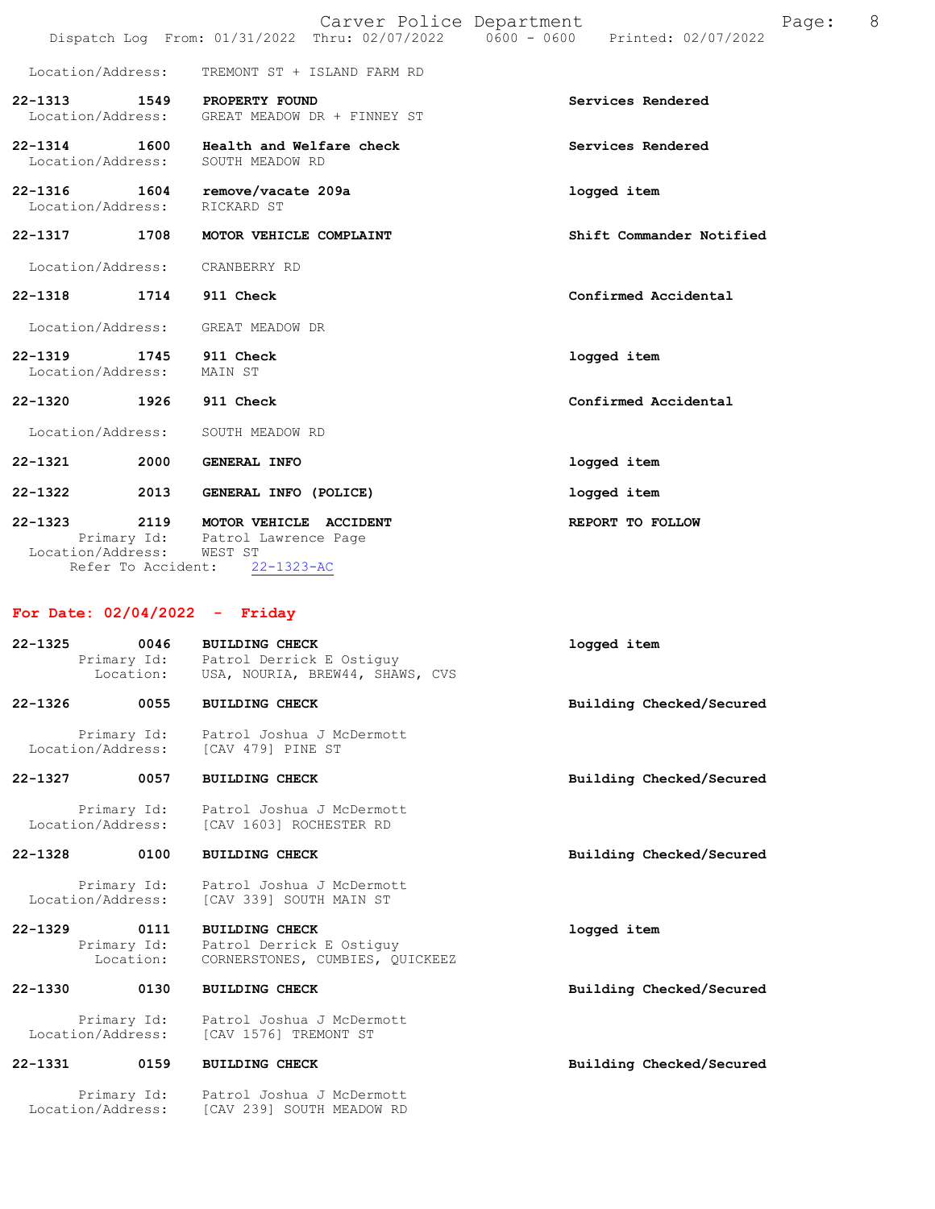|                                          |                            | Carver Police Department<br>Dispatch Log From: 01/31/2022 Thru: 02/07/2022 0600 - 0600    | Printed: 02/07/2022      | 8<br>Page: |
|------------------------------------------|----------------------------|-------------------------------------------------------------------------------------------|--------------------------|------------|
| Location/Address:                        |                            | TREMONT ST + ISLAND FARM RD                                                               |                          |            |
| $22 - 1313$<br>Location/Address:         | 1549                       | PROPERTY FOUND<br>GREAT MEADOW DR + FINNEY ST                                             | Services Rendered        |            |
| $22 - 1314$<br>Location/Address:         | 1600                       | Health and Welfare check<br>SOUTH MEADOW RD                                               | Services Rendered        |            |
| $22 - 1316$<br>Location/Address:         | 1604                       | remove/vacate 209a<br>RICKARD ST                                                          | logged item              |            |
| $22 - 1317$                              | 1708                       | MOTOR VEHICLE COMPLAINT                                                                   | Shift Commander Notified |            |
| Location/Address:                        |                            | CRANBERRY RD                                                                              |                          |            |
| $22 - 1318$                              | 1714                       | 911 Check                                                                                 | Confirmed Accidental     |            |
| Location/Address:                        |                            | GREAT MEADOW DR                                                                           |                          |            |
| $22 - 1319$<br>1745<br>Location/Address: |                            | 911 Check<br>MAIN ST                                                                      | logged item              |            |
| $22 - 1320$<br>1926                      |                            | 911 Check                                                                                 | Confirmed Accidental     |            |
| Location/Address:                        |                            | SOUTH MEADOW RD                                                                           |                          |            |
| $22 - 1321$                              | 2000                       | <b>GENERAL INFO</b>                                                                       | logged item              |            |
| $22 - 1322$                              | 2013                       | GENERAL INFO (POLICE)                                                                     | logged item              |            |
| $22 - 1323$<br>Location/Address:         | 2119<br>Refer To Accident: | MOTOR VEHICLE ACCIDENT<br>Primary Id: Patrol Lawrence Page<br>WEST ST<br>$22 - 1323 - AC$ | REPORT TO FOLLOW         |            |

# For Date: 02/04/2022 - Friday

Location/Address: [CAV 239] SOUTH MEADOW RD

| $22 - 1325$ | 0046                             | BUILDING CHECK<br>Primary Id: Patrol Derrick E Ostiquy<br>Location: USA, NOURIA, BREW44, SHAWS, CVS | logged item              |
|-------------|----------------------------------|-----------------------------------------------------------------------------------------------------|--------------------------|
| $22 - 1326$ | 0055                             | <b>BUILDING CHECK</b>                                                                               | Building Checked/Secured |
|             |                                  | Primary Id: Patrol Joshua J McDermott<br>Location/Address: [CAV 479] PINE ST                        |                          |
| 22-1327     | 0057                             | <b>BUILDING CHECK</b>                                                                               | Building Checked/Secured |
|             |                                  | Primary Id: Patrol Joshua J McDermott<br>Location/Address: [CAV 1603] ROCHESTER RD                  |                          |
| 22-1328     | 0100                             | <b>BUILDING CHECK</b>                                                                               | Building Checked/Secured |
|             | Location/Address:                | Primary Id: Patrol Joshua J McDermott<br>[CAV 339] SOUTH MAIN ST                                    |                          |
| $22 - 1329$ | 0111<br>Primary Id:<br>Location: | <b>BUILDING CHECK</b><br>Patrol Derrick E Ostiquy<br>CORNERSTONES, CUMBIES, OUICKEEZ                | logged item              |
| $22 - 1330$ | 0130                             | <b>BUILDING CHECK</b>                                                                               | Building Checked/Secured |
|             | Location/Address:                | Primary Id: Patrol Joshua J McDermott<br>[CAV 1576] TREMONT ST                                      |                          |
| $22 - 1331$ | 0159                             | <b>BUILDING CHECK</b>                                                                               | Building Checked/Secured |
|             | Primary Id:                      | Patrol Joshua J McDermott                                                                           |                          |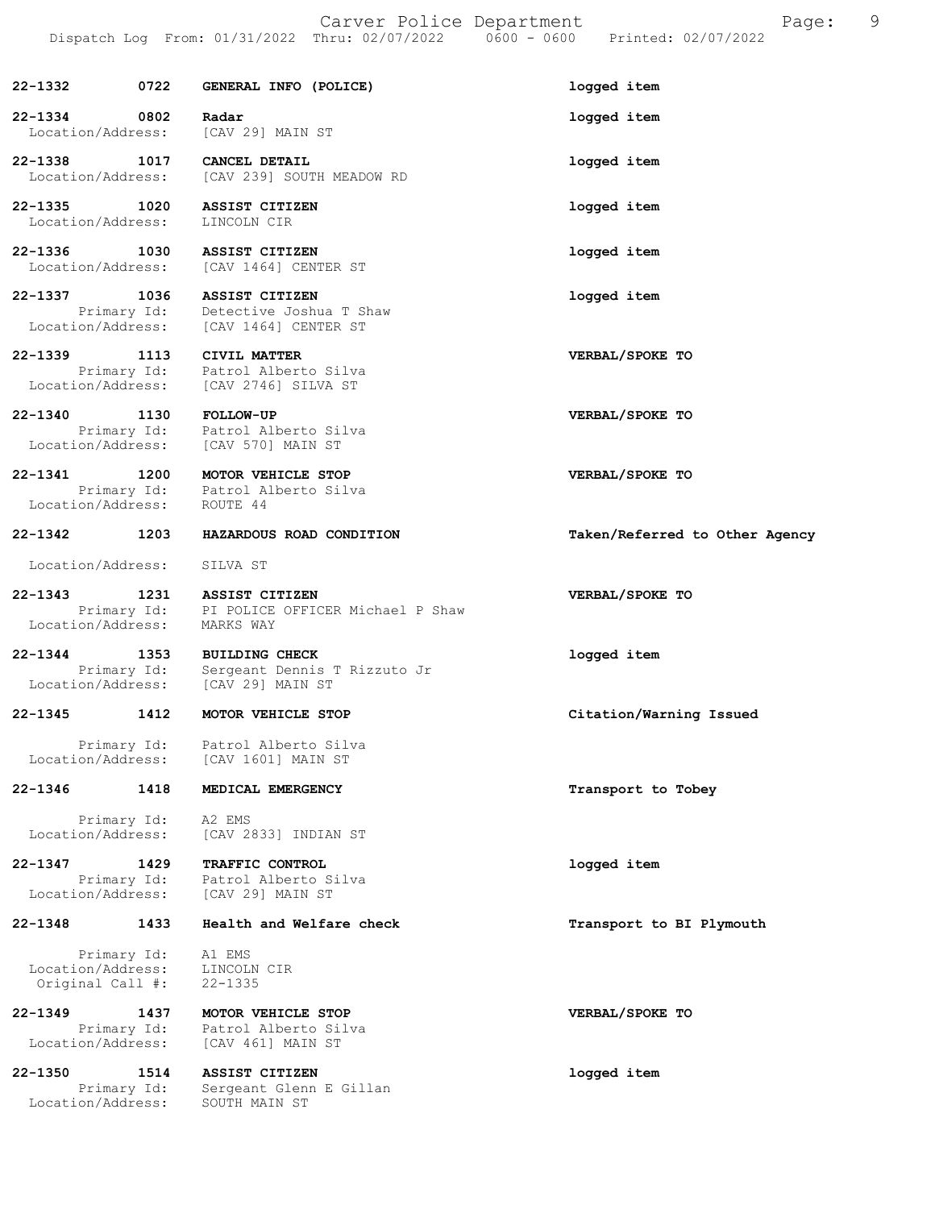|                                       |                     | Carver Police Department                                                            | Page:<br>Dispatch Log From: 01/31/2022 Thru: 02/07/2022   0600 - 0600   Printed: 02/07/2022 | 9 |
|---------------------------------------|---------------------|-------------------------------------------------------------------------------------|---------------------------------------------------------------------------------------------|---|
| 22-1332                               | 0722                | GENERAL INFO (POLICE)                                                               | logged item                                                                                 |   |
| 22-1334<br>Location/Address:          | 0802                | Radar<br>[CAV 29] MAIN ST                                                           | logged item                                                                                 |   |
| 22-1338<br>Location/Address:          | 1017                | CANCEL DETAIL<br>[CAV 239] SOUTH MEADOW RD                                          | logged item                                                                                 |   |
| 22-1335<br>Location/Address:          | 1020                | <b>ASSIST CITIZEN</b><br>LINCOLN CIR                                                | logged item                                                                                 |   |
| 22-1336 1030<br>Location/Address:     |                     | <b>ASSIST CITIZEN</b><br>[CAV 1464] CENTER ST                                       | logged item                                                                                 |   |
| 22-1337<br>Location/Address:          | 1036<br>Primary Id: | <b>ASSIST CITIZEN</b><br>Detective Joshua T Shaw<br>[CAV 1464] CENTER ST            | logged item                                                                                 |   |
| 22-1339<br>Location/Address:          | 1113<br>Primary Id: | CIVIL MATTER<br>Patrol Alberto Silva<br>[CAV 2746] SILVA ST                         | VERBAL/SPOKE TO                                                                             |   |
| $22 - 1340$<br>Location/Address:      | 1130                | <b>FOLLOW-UP</b><br>Primary Id: Patrol Alberto Silva<br>[CAV 570] MAIN ST           | VERBAL/SPOKE TO                                                                             |   |
| $22 - 1341$<br>Location/Address:      | 1200                | MOTOR VEHICLE STOP<br>Primary Id: Patrol Alberto Silva<br>ROUTE 44                  | VERBAL/SPOKE TO                                                                             |   |
| 22-1342                               | 1203                | HAZARDOUS ROAD CONDITION                                                            | Taken/Referred to Other Agency                                                              |   |
| Location/Address:                     |                     | SILVA ST                                                                            |                                                                                             |   |
| 22-1343<br>Location/Address:          | 1231<br>Primary Id: | ASSIST CITIZEN<br>PI POLICE OFFICER Michael P Shaw<br>MARKS WAY                     | VERBAL/SPOKE TO                                                                             |   |
| 22-1344<br>Location/Address:          |                     | 1353 BUILDING CHECK<br>Primary Id: Sergeant Dennis T Rizzuto Jr<br>[CAV 29] MAIN ST | logged item                                                                                 |   |
| $22 - 1345$                           | 1412                | MOTOR VEHICLE STOP                                                                  | Citation/Warning Issued                                                                     |   |
| Location/Address:                     | Primary Id:         | Patrol Alberto Silva<br>[CAV 1601] MAIN ST                                          |                                                                                             |   |
| 22-1346                               | 1418                | MEDICAL EMERGENCY                                                                   | Transport to Tobey                                                                          |   |
| Location/Address:                     | Primary Id:         | A2 EMS<br>[CAV 2833] INDIAN ST                                                      |                                                                                             |   |
| 22-1347<br>Location/Address:          | 1429<br>Primary Id: | <b>TRAFFIC CONTROL</b><br>Patrol Alberto Silva<br>[CAV 29] MAIN ST                  | logged item                                                                                 |   |
| 22-1348                               | 1433                | Health and Welfare check                                                            | Transport to BI Plymouth                                                                    |   |
| Location/Address:<br>Original Call #: | Primary Id:         | A1 EMS<br>LINCOLN CIR<br>$22 - 1335$                                                |                                                                                             |   |
| 22-1349<br>Location/Address:          | 1437<br>Primary Id: | MOTOR VEHICLE STOP<br>Patrol Alberto Silva<br>[CAV 461] MAIN ST                     | VERBAL/SPOKE TO                                                                             |   |

22-1350 1514 ASSIST CITIZEN logged item Primary Id: Sergeant Glenn E Gillan Location/Address: SOUTH MAIN ST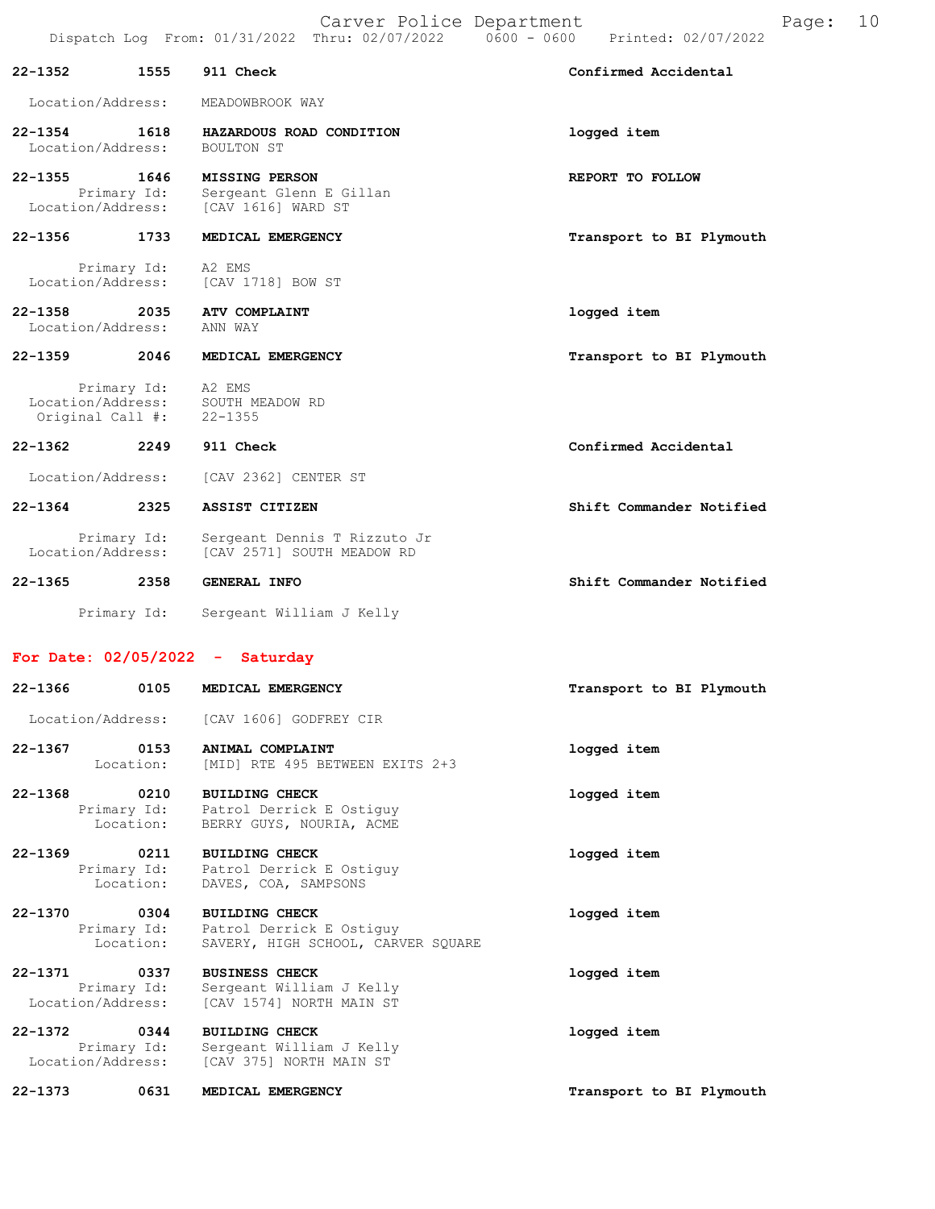|                                  |                     | Carver Police Department<br>Dispatch Log From: 01/31/2022 Thru: 02/07/2022 | $0600 - 0600$<br>Printed: 02/07/2022 | Page: | 10 |
|----------------------------------|---------------------|----------------------------------------------------------------------------|--------------------------------------|-------|----|
| 22-1352                          | 1555                | 911 Check                                                                  | Confirmed Accidental                 |       |    |
| Location/Address:                |                     | MEADOWBROOK WAY                                                            |                                      |       |    |
| $22 - 1354$<br>Location/Address: | 1618                | HAZARDOUS ROAD CONDITION<br>BOULTON ST                                     | logged item                          |       |    |
| $22 - 1355$<br>Location/Address: | 1646<br>Primary Id: | <b>MISSING PERSON</b><br>Sergeant Glenn E Gillan<br>[CAV 1616] WARD ST     | REPORT TO FOLLOW                     |       |    |
| $22 - 1356$                      | 1733                | MEDICAL EMERGENCY                                                          | Transport to BI Plymouth             |       |    |
| Primary Id:<br>Location/Address: |                     | A2 EMS<br>[CAV 1718] BOW ST                                                |                                      |       |    |
| $22 - 1358$<br>Location/Address: | 2035                | <b>ATV COMPLAINT</b><br>ANN WAY                                            | logged item                          |       |    |
| $22 - 1359$                      | 2046                | MEDICAL EMERGENCY                                                          | Transport to BI Plymouth             |       |    |
| Primary Id:<br>Original Call #:  |                     | A2 EMS<br>Location/Address: SOUTH MEADOW RD<br>$22 - 1355$                 |                                      |       |    |
| $22 - 1362$                      | 2249                | 911 Check                                                                  | Confirmed Accidental                 |       |    |
| Location/Address:                |                     | [CAV 2362] CENTER ST                                                       |                                      |       |    |
| 22-1364                          | 2325                | ASSIST CITIZEN                                                             | Shift Commander Notified             |       |    |
| Primary Id:<br>Location/Address: |                     | Sergeant Dennis T Rizzuto Jr<br>[CAV 2571] SOUTH MEADOW RD                 |                                      |       |    |
| 22-1365                          | 2358                | GENERAL INFO                                                               | Shift Commander Notified             |       |    |

For Date: 02/05/2022 - Saturday

Primary Id: Sergeant William J Kelly

| 22-1366<br>0105                                      | MEDICAL EMERGENCY                                                                       | Transport to BI Plymouth |
|------------------------------------------------------|-----------------------------------------------------------------------------------------|--------------------------|
|                                                      | Location/Address: [CAV 1606] GODFREY CIR                                                |                          |
| 22-1367<br>0153<br>Location:                         | ANIMAL COMPLAINT<br>[MID] RTE 495 BETWEEN EXITS 2+3                                     | logged item              |
| $22 - 1368$<br>0210<br>Primary Id:<br>Location:      | <b>BUILDING CHECK</b><br>Patrol Derrick E Ostiquy<br>BERRY GUYS, NOURIA, ACME           | logged item              |
| 22-1369<br>0211<br>Location:                         | <b>BUILDING CHECK</b><br>Primary Id: Patrol Derrick E Ostiguy<br>DAVES, COA, SAMPSONS   | logged item              |
| 22-1370 0304<br>Primary Id:<br>Location:             | <b>BUILDING CHECK</b><br>Patrol Derrick E Ostiquy<br>SAVERY, HIGH SCHOOL, CARVER SOUARE | logged item              |
| 22-1371<br>0337<br>Primary Id:<br>Location/Address:  | <b>BUSINESS CHECK</b><br>Sergeant William J Kelly<br>[CAV 1574] NORTH MAIN ST           | logged item              |
| 22-1372<br>0.344<br>Primary Id:<br>Location/Address: | <b>BUILDING CHECK</b><br>Sergeant William J Kelly<br>[CAV 375] NORTH MAIN ST            | logged item              |
| $22 - 1373$<br>0631                                  | MEDICAL EMERGENCY                                                                       | Transport to BI Plymouth |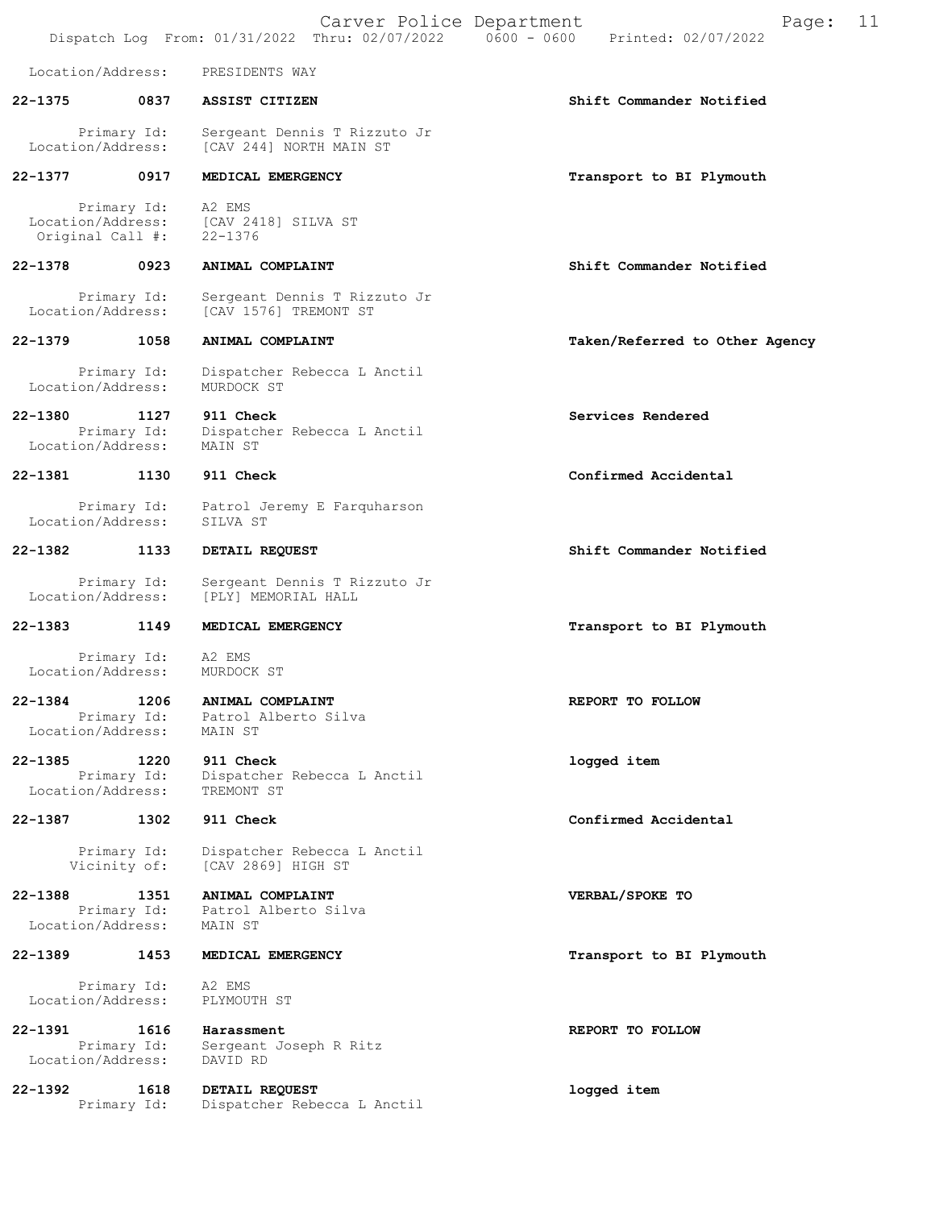|             |                                                      | Carver Police Department<br>Dispatch Log From: 01/31/2022 Thru: 02/07/2022 | 11<br>Page:<br>$0600 - 0600$<br>Printed: 02/07/2022 |
|-------------|------------------------------------------------------|----------------------------------------------------------------------------|-----------------------------------------------------|
|             | Location/Address:                                    | PRESIDENTS WAY                                                             |                                                     |
| 22-1375     | 0837                                                 | ASSIST CITIZEN                                                             | Shift Commander Notified                            |
|             | Primary Id:<br>Location/Address:                     | Sergeant Dennis T Rizzuto Jr<br>[CAV 244] NORTH MAIN ST                    |                                                     |
| $22 - 1377$ | 0917                                                 | MEDICAL EMERGENCY                                                          | Transport to BI Plymouth                            |
|             | Primary Id:<br>Location/Address:<br>Original Call #: | A2 EMS<br>[CAV 2418] SILVA ST<br>$22 - 1376$                               |                                                     |
| 22-1378     | 0923                                                 | ANIMAL COMPLAINT                                                           | Shift Commander Notified                            |
|             | Primary Id:<br>Location/Address:                     | Sergeant Dennis T Rizzuto Jr<br>[CAV 1576] TREMONT ST                      |                                                     |
| 22-1379     | 1058                                                 | ANIMAL COMPLAINT                                                           | Taken/Referred to Other Agency                      |
|             | Primary Id:<br>Location/Address:                     | Dispatcher Rebecca L Anctil<br>MURDOCK ST                                  |                                                     |
| 22-1380     | 1127<br>Primary Id:<br>Location/Address:             | 911 Check<br>Dispatcher Rebecca L Anctil<br>MAIN ST                        | Services Rendered                                   |
| 22-1381     | 1130                                                 | 911 Check                                                                  | Confirmed Accidental                                |
|             | Primary Id:<br>Location/Address:                     | Patrol Jeremy E Farquharson<br>SILVA ST                                    |                                                     |
| 22-1382     | 1133                                                 | DETAIL REQUEST                                                             | Shift Commander Notified                            |
|             | Primary Id:<br>Location/Address:                     | Sergeant Dennis T Rizzuto Jr<br>[PLY] MEMORIAL HALL                        |                                                     |
| 22-1383     | 1149                                                 | MEDICAL EMERGENCY                                                          | Transport to BI Plymouth                            |
|             | Primary Id:<br>Location/Address:                     | A2 EMS<br>MURDOCK ST                                                       |                                                     |
| 22-1384     | 1206<br>Primary Id:<br>Location/Address:             | ANIMAL COMPLAINT<br>Patrol Alberto Silva<br>MAIN ST                        | REPORT TO FOLLOW                                    |
| 22-1385     | 1220<br>Primary Id:<br>Location/Address:             | 911 Check<br>Dispatcher Rebecca L Anctil<br>TREMONT ST                     | logged item                                         |
| 22-1387     | 1302                                                 | 911 Check                                                                  | Confirmed Accidental                                |
|             | Primary Id:<br>Vicinity of:                          | Dispatcher Rebecca L Anctil<br>[CAV 2869] HIGH ST                          |                                                     |
| 22-1388     | 1351<br>Primary Id:<br>Location/Address:             | ANIMAL COMPLAINT<br>Patrol Alberto Silva<br>MAIN ST                        | VERBAL/SPOKE TO                                     |
| 22-1389     | 1453                                                 | MEDICAL EMERGENCY                                                          | Transport to BI Plymouth                            |
|             | Primary Id:<br>Location/Address:                     | A2 EMS<br>PLYMOUTH ST                                                      |                                                     |
| 22-1391     | 1616<br>Primary Id:<br>Location/Address:             | Harassment<br>Sergeant Joseph R Ritz<br>DAVID RD                           | REPORT TO FOLLOW                                    |
| $22 - 1392$ | 1618<br>Primary Id:                                  | DETAIL REQUEST<br>Dispatcher Rebecca L Anctil                              | logged item                                         |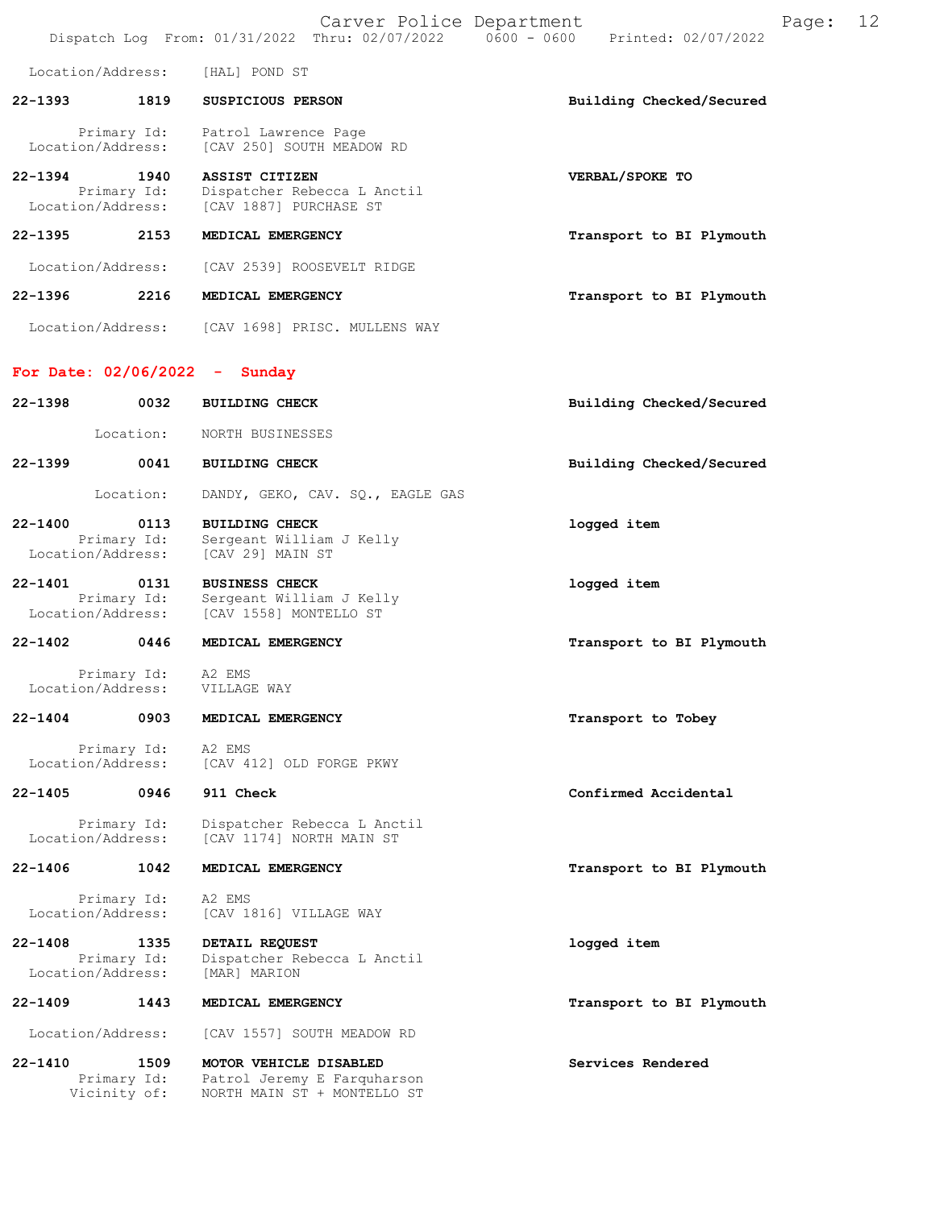|             |                                                  | Carver Police Department                                                             | Page:<br>Dispatch Log From: 01/31/2022 Thru: 02/07/2022 0600 - 0600 Printed: 02/07/2022 | 12 |
|-------------|--------------------------------------------------|--------------------------------------------------------------------------------------|-----------------------------------------------------------------------------------------|----|
|             | Location/Address:                                | [HAL] POND ST                                                                        |                                                                                         |    |
| $22 - 1393$ | 1819                                             | SUSPICIOUS PERSON                                                                    | Building Checked/Secured                                                                |    |
|             | Primary Id:<br>Location/Address:                 | Patrol Lawrence Page<br>[CAV 250] SOUTH MEADOW RD                                    |                                                                                         |    |
|             | 22-1394 1940<br>Primary Id:<br>Location/Address: | <b>ASSIST CITIZEN</b><br>Dispatcher Rebecca L Anctil<br>[CAV 1887] PURCHASE ST       | VERBAL/SPOKE TO                                                                         |    |
|             | 22-1395 2153                                     | MEDICAL EMERGENCY                                                                    | Transport to BI Plymouth                                                                |    |
|             | Location/Address:                                | [CAV 2539] ROOSEVELT RIDGE                                                           |                                                                                         |    |
| $22 - 1396$ | 2216                                             | MEDICAL EMERGENCY                                                                    | Transport to BI Plymouth                                                                |    |
|             |                                                  | Location/Address: [CAV 1698] PRISC. MULLENS WAY                                      |                                                                                         |    |
|             |                                                  | For Date: $02/06/2022 -$ Sunday                                                      |                                                                                         |    |
| 22-1398     | 0032                                             | <b>BUILDING CHECK</b>                                                                | Building Checked/Secured                                                                |    |
|             | Location:                                        | NORTH BUSINESSES                                                                     |                                                                                         |    |
| 22-1399     | 0041                                             | <b>BUILDING CHECK</b>                                                                | Building Checked/Secured                                                                |    |
|             | Location:                                        | DANDY, GEKO, CAV. SQ., EAGLE GAS                                                     |                                                                                         |    |
| 22-1400     | 0113<br>Primary Id:<br>Location/Address:         | <b>BUILDING CHECK</b><br>Sergeant William J Kelly<br>[CAV 29] MAIN ST                | logged item                                                                             |    |
|             | 22-1401 0131<br>Primary Id:<br>Location/Address: | <b>BUSINESS CHECK</b><br>Sergeant William J Kelly<br>[CAV 1558] MONTELLO ST          | logged item                                                                             |    |
|             | 22-1402 0446                                     | MEDICAL EMERGENCY                                                                    | Transport to BI Plymouth                                                                |    |
|             | Primary Id:<br>Location/Address:                 | A2 EMS<br>VILLAGE WAY                                                                |                                                                                         |    |
| 22-1404     | 0903                                             | MEDICAL EMERGENCY                                                                    | Transport to Tobey                                                                      |    |
|             | Primary Id:<br>Location/Address:                 | A2 EMS<br>[CAV 412] OLD FORGE PKWY                                                   |                                                                                         |    |
|             | 22-1405 0946                                     | 911 Check                                                                            | Confirmed Accidental                                                                    |    |
|             | Primary Id:<br>Location/Address:                 | Dispatcher Rebecca L Anctil<br>[CAV 1174] NORTH MAIN ST                              |                                                                                         |    |
| $22 - 1406$ | 1042                                             | MEDICAL EMERGENCY                                                                    | Transport to BI Plymouth                                                                |    |
|             | Primary Id:<br>Location/Address:                 | A2 EMS<br>[CAV 1816] VILLAGE WAY                                                     |                                                                                         |    |
| $22 - 1408$ | 1335<br>Primary Id:<br>Location/Address:         | DETAIL REQUEST<br>Dispatcher Rebecca L Anctil<br>[MAR] MARION                        | logged item                                                                             |    |
| $22 - 1409$ | 1443                                             | MEDICAL EMERGENCY                                                                    | Transport to BI Plymouth                                                                |    |
|             | Location/Address:                                | [CAV 1557] SOUTH MEADOW RD                                                           |                                                                                         |    |
| $22 - 1410$ | 1509<br>Primary Id:<br>Vicinity of:              | MOTOR VEHICLE DISABLED<br>Patrol Jeremy E Farquharson<br>NORTH MAIN ST + MONTELLO ST | Services Rendered                                                                       |    |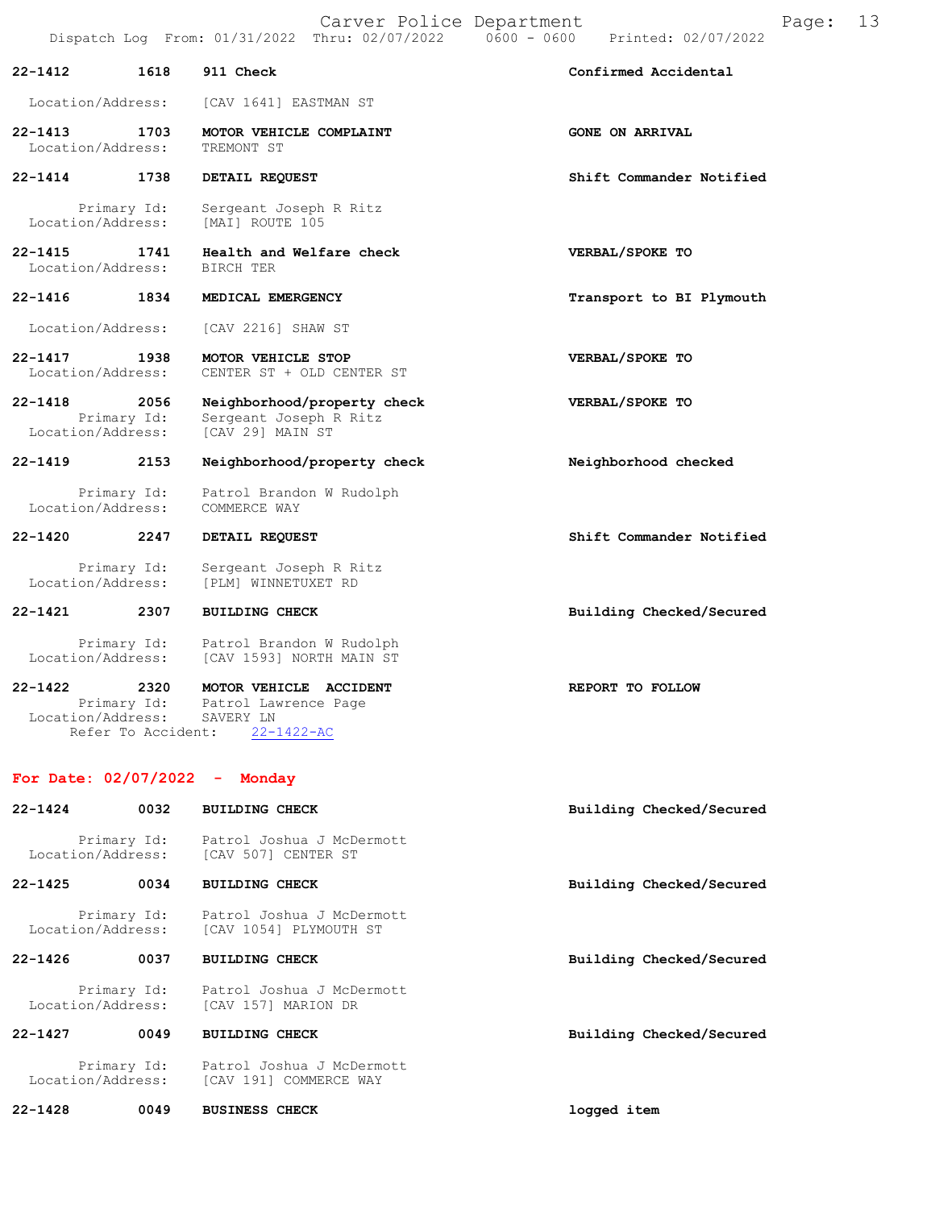|                                  |                     | Carver Police Department                                                  | Page:                                | 13 |
|----------------------------------|---------------------|---------------------------------------------------------------------------|--------------------------------------|----|
|                                  |                     | Dispatch Log From: 01/31/2022 Thru: 02/07/2022                            | $0600 - 0600$<br>Printed: 02/07/2022 |    |
| $22 - 1412$                      | 1618                | 911 Check                                                                 | Confirmed Accidental                 |    |
| Location/Address:                |                     | [CAV 1641] EASTMAN ST                                                     |                                      |    |
| 22-1413<br>Location/Address:     | 1703                | MOTOR VEHICLE COMPLAINT<br>TREMONT ST                                     | <b>GONE ON ARRIVAL</b>               |    |
| $22 - 1414$                      | 1738                | DETAIL REQUEST                                                            | Shift Commander Notified             |    |
| Location/Address:                | Primary Id:         | Sergeant Joseph R Ritz<br>[MAI] ROUTE 105                                 |                                      |    |
| $22 - 1415$<br>Location/Address: | 1741                | Health and Welfare check<br>BIRCH TER                                     | VERBAL/SPOKE TO                      |    |
| $22 - 1416$                      | 1834                | MEDICAL EMERGENCY                                                         | Transport to BI Plymouth             |    |
| Location/Address:                |                     | [CAV 2216] SHAW ST                                                        |                                      |    |
| $22 - 1417$<br>Location/Address: | 1938                | MOTOR VEHICLE STOP<br>CENTER ST + OLD CENTER ST                           | VERBAL/SPOKE TO                      |    |
| $22 - 1418$<br>Location/Address: | 2056<br>Primary Id: | Neighborhood/property check<br>Sergeant Joseph R Ritz<br>[CAV 29] MAIN ST | VERBAL/SPOKE TO                      |    |
| $22 - 1419$                      | 2153                | Neighborhood/property check                                               | Neighborhood checked                 |    |
| Location/Address:                | Primary Id:         | Patrol Brandon W Rudolph<br>COMMERCE WAY                                  |                                      |    |
| $22 - 1420$                      | 2247                | DETAIL REQUEST                                                            | Shift Commander Notified             |    |
| Location/Address:                | Primary Id:         | Sergeant Joseph R Ritz<br>[PLM] WINNETUXET RD                             |                                      |    |
| 22-1421                          | 2307                | <b>BUILDING CHECK</b>                                                     | Building Checked/Secured             |    |
| Location/Address:                | Primary Id:         | Patrol Brandon W Rudolph<br>[CAV 1593] NORTH MAIN ST                      |                                      |    |
| 22-1422                          | 2320                | MOTOR VEHICLE ACCIDENT                                                    | REPORT TO FOLLOW                     |    |

| 22-1422 | -2320                         |           |                      | MOTOR VEHICLE ACCIDENT | <b>REPORT</b> |
|---------|-------------------------------|-----------|----------------------|------------------------|---------------|
|         | Primary Id:                   |           | Patrol Lawrence Page |                        |               |
|         | Location/Address:             | SAVERY LN |                      |                        |               |
|         | Refer To Accident: 22-1422-AC |           |                      |                        |               |

# For Date: 02/07/2022 - Monday

| $22 - 1424$ | 0032 | <b>BUILDING CHECK</b>                                                             | Building Checked/Secured |
|-------------|------|-----------------------------------------------------------------------------------|--------------------------|
|             |      | Primary Id: Patrol Joshua J McDermott<br>Location/Address: [CAV 507] CENTER ST    |                          |
| $22 - 1425$ | 0034 | <b>BUILDING CHECK</b>                                                             | Building Checked/Secured |
|             |      | Primary Id: Patrol Joshua J McDermott<br>Location/Address: [CAV 1054] PLYMOUTH ST |                          |
| $22 - 1426$ | 0037 | <b>BUILDING CHECK</b>                                                             | Building Checked/Secured |
|             |      | Primary Id: Patrol Joshua J McDermott<br>Location/Address: [CAV 157] MARION DR    |                          |
| $22 - 1427$ | 0049 | <b>BUILDING CHECK</b>                                                             | Building Checked/Secured |
|             |      | Primary Id: Patrol Joshua J McDermott<br>Location/Address: [CAV 191] COMMERCE WAY |                          |
| $22 - 1428$ | 0049 | <b>BUSINESS CHECK</b>                                                             | logged item              |